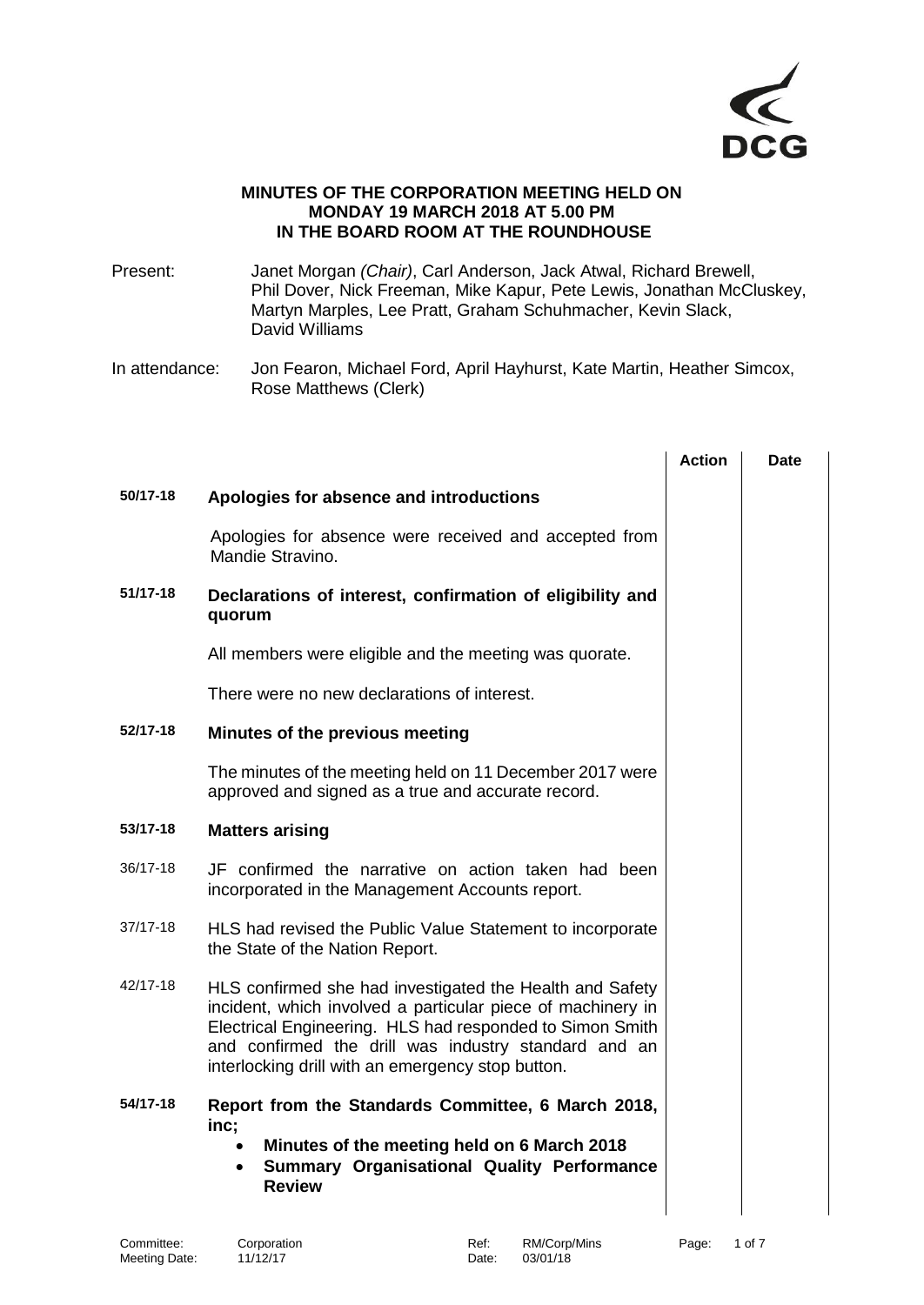

#### **MINUTES OF THE CORPORATION MEETING HELD ON MONDAY 19 MARCH 2018 AT 5.00 PM IN THE BOARD ROOM AT THE ROUNDHOUSE**

Present: Janet Morgan *(Chair)*, Carl Anderson, Jack Atwal, Richard Brewell, Phil Dover, Nick Freeman, Mike Kapur, Pete Lewis, Jonathan McCluskey, Martyn Marples, Lee Pratt, Graham Schuhmacher, Kevin Slack, David Williams

In attendance: Jon Fearon, Michael Ford, April Hayhurst, Kate Martin, Heather Simcox, Rose Matthews (Clerk)

|              |                                                                                                                                                                                                                                                                                                  | <b>Action</b> | Date |
|--------------|--------------------------------------------------------------------------------------------------------------------------------------------------------------------------------------------------------------------------------------------------------------------------------------------------|---------------|------|
| 50/17-18     | Apologies for absence and introductions                                                                                                                                                                                                                                                          |               |      |
|              | Apologies for absence were received and accepted from<br>Mandie Stravino.                                                                                                                                                                                                                        |               |      |
| 51/17-18     | Declarations of interest, confirmation of eligibility and<br>quorum                                                                                                                                                                                                                              |               |      |
|              | All members were eligible and the meeting was quorate.                                                                                                                                                                                                                                           |               |      |
|              | There were no new declarations of interest.                                                                                                                                                                                                                                                      |               |      |
| 52/17-18     | Minutes of the previous meeting                                                                                                                                                                                                                                                                  |               |      |
|              | The minutes of the meeting held on 11 December 2017 were<br>approved and signed as a true and accurate record.                                                                                                                                                                                   |               |      |
| 53/17-18     | <b>Matters arising</b>                                                                                                                                                                                                                                                                           |               |      |
| 36/17-18     | JF confirmed the narrative on action taken had been<br>incorporated in the Management Accounts report.                                                                                                                                                                                           |               |      |
| $37/17 - 18$ | HLS had revised the Public Value Statement to incorporate<br>the State of the Nation Report.                                                                                                                                                                                                     |               |      |
| 42/17-18     | HLS confirmed she had investigated the Health and Safety<br>incident, which involved a particular piece of machinery in<br>Electrical Engineering. HLS had responded to Simon Smith<br>and confirmed the drill was industry standard and an<br>interlocking drill with an emergency stop button. |               |      |
| 54/17-18     | Report from the Standards Committee, 6 March 2018,<br>inc;<br>Minutes of the meeting held on 6 March 2018<br><b>Summary Organisational Quality Performance</b><br>$\bullet$<br><b>Review</b>                                                                                                     |               |      |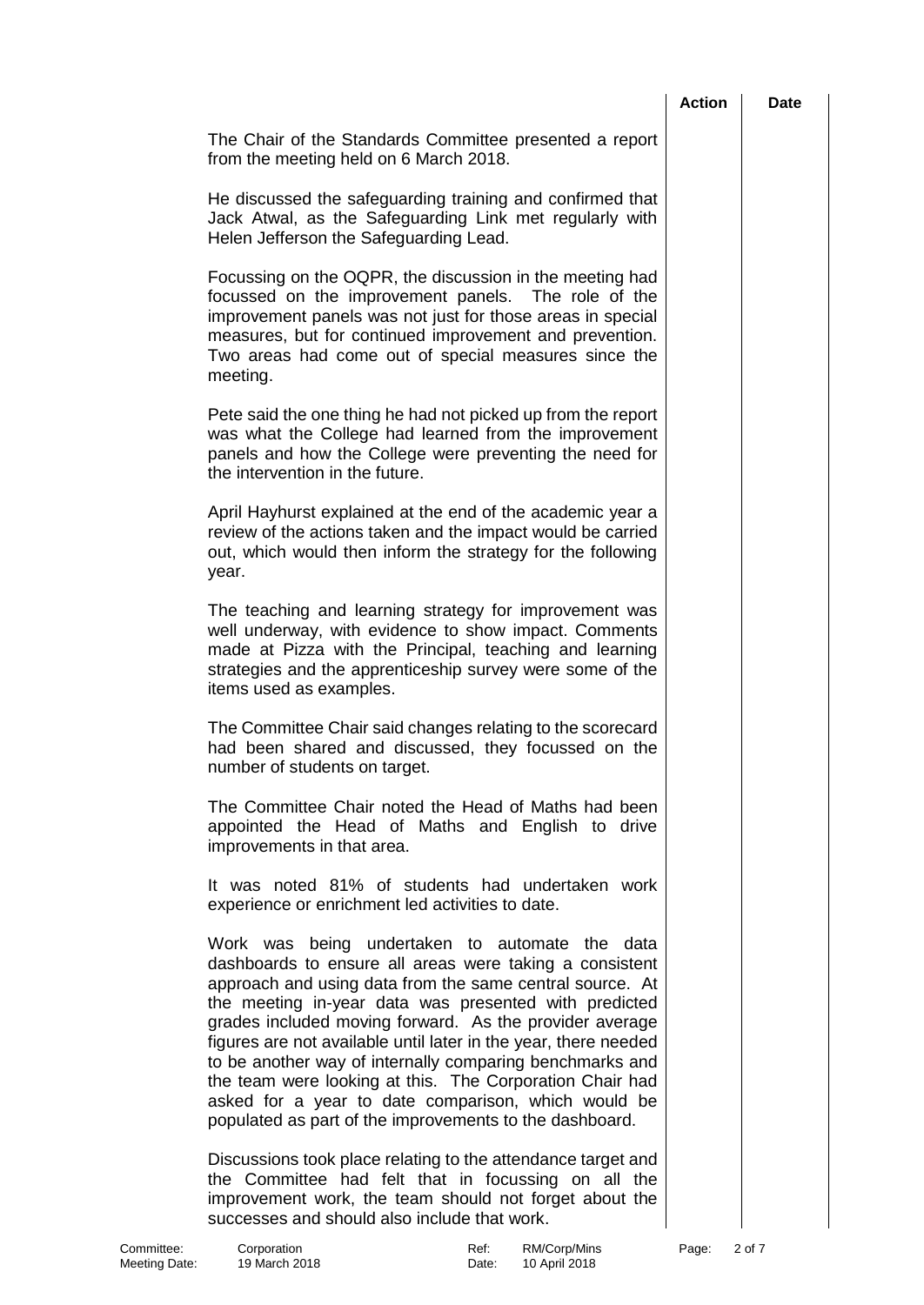|                                                                                                                                                                                                                                                                                                                                                                                                                                                                                                                                                                                                        | <b>Action</b> | <b>Date</b> |
|--------------------------------------------------------------------------------------------------------------------------------------------------------------------------------------------------------------------------------------------------------------------------------------------------------------------------------------------------------------------------------------------------------------------------------------------------------------------------------------------------------------------------------------------------------------------------------------------------------|---------------|-------------|
| The Chair of the Standards Committee presented a report<br>from the meeting held on 6 March 2018.                                                                                                                                                                                                                                                                                                                                                                                                                                                                                                      |               |             |
| He discussed the safeguarding training and confirmed that<br>Jack Atwal, as the Safeguarding Link met regularly with<br>Helen Jefferson the Safeguarding Lead.                                                                                                                                                                                                                                                                                                                                                                                                                                         |               |             |
| Focussing on the OQPR, the discussion in the meeting had<br>focussed on the improvement panels. The role of the<br>improvement panels was not just for those areas in special<br>measures, but for continued improvement and prevention.<br>Two areas had come out of special measures since the<br>meeting.                                                                                                                                                                                                                                                                                           |               |             |
| Pete said the one thing he had not picked up from the report<br>was what the College had learned from the improvement<br>panels and how the College were preventing the need for<br>the intervention in the future.                                                                                                                                                                                                                                                                                                                                                                                    |               |             |
| April Hayhurst explained at the end of the academic year a<br>review of the actions taken and the impact would be carried<br>out, which would then inform the strategy for the following<br>year.                                                                                                                                                                                                                                                                                                                                                                                                      |               |             |
| The teaching and learning strategy for improvement was<br>well underway, with evidence to show impact. Comments<br>made at Pizza with the Principal, teaching and learning<br>strategies and the apprenticeship survey were some of the<br>items used as examples.                                                                                                                                                                                                                                                                                                                                     |               |             |
| The Committee Chair said changes relating to the scorecard<br>had been shared and discussed, they focussed on the<br>number of students on target.                                                                                                                                                                                                                                                                                                                                                                                                                                                     |               |             |
| The Committee Chair noted the Head of Maths had been<br>appointed the Head of Maths and English to drive<br>improvements in that area.                                                                                                                                                                                                                                                                                                                                                                                                                                                                 |               |             |
| It was noted 81% of students had undertaken work<br>experience or enrichment led activities to date.                                                                                                                                                                                                                                                                                                                                                                                                                                                                                                   |               |             |
| Work was being undertaken to automate the data<br>dashboards to ensure all areas were taking a consistent<br>approach and using data from the same central source. At<br>the meeting in-year data was presented with predicted<br>grades included moving forward. As the provider average<br>figures are not available until later in the year, there needed<br>to be another way of internally comparing benchmarks and<br>the team were looking at this. The Corporation Chair had<br>asked for a year to date comparison, which would be<br>populated as part of the improvements to the dashboard. |               |             |
| Discussions took place relating to the attendance target and<br>the Committee had felt that in focussing on all the<br>improvement work, the team should not forget about the<br>successes and should also include that work.                                                                                                                                                                                                                                                                                                                                                                          |               |             |

Committee: Corporation Committee: Corporation Committee: Ref: RM/Corp/Mins Page: 2 of 7 Meeting Date: 19 March 2018 **Date:** 10 April 2018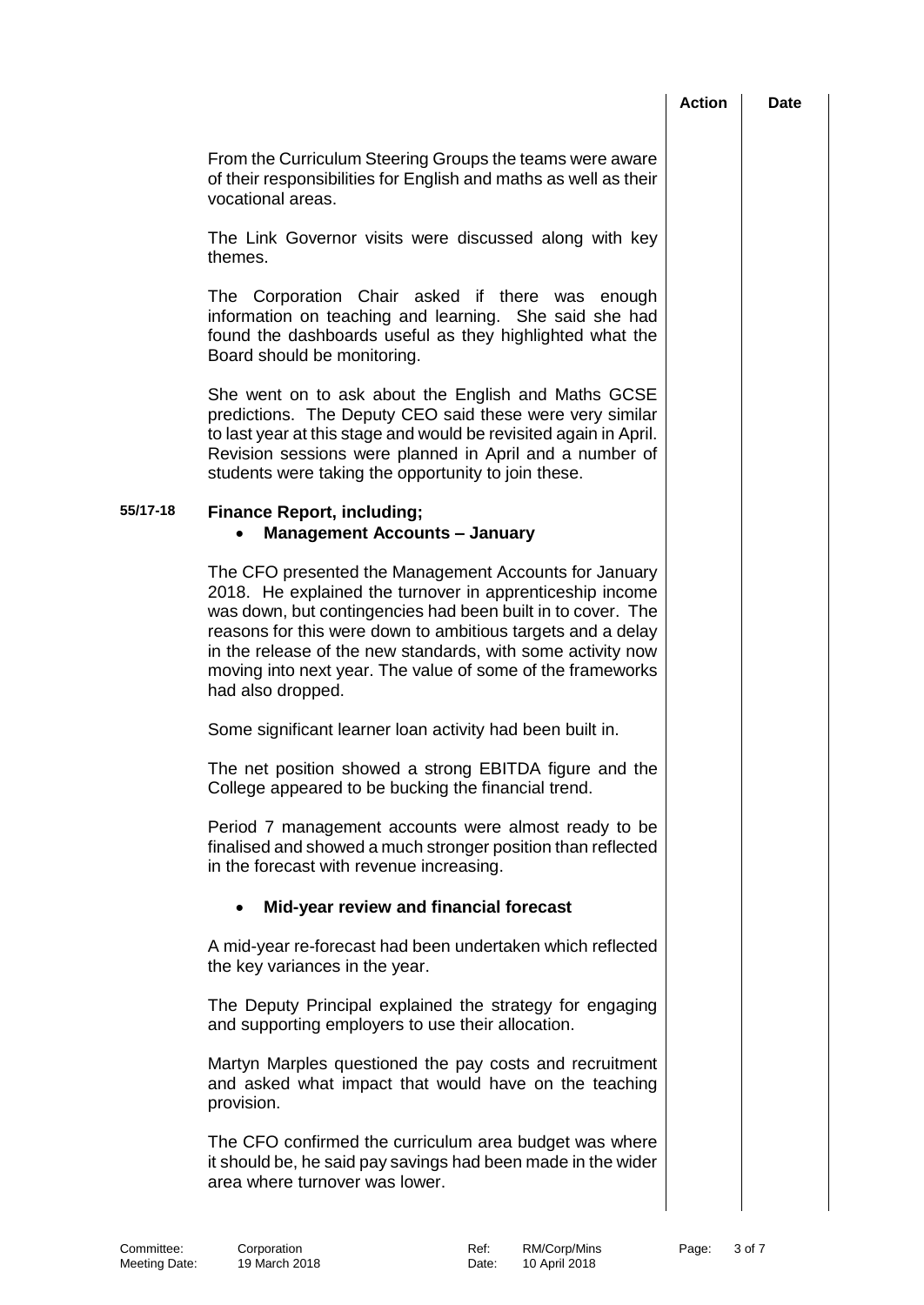| Action | Date |
|--------|------|
|        |      |

From the Curriculum Steering Groups the teams were aware of their responsibilities for English and maths as well as their vocational areas.

The Link Governor visits were discussed along with key themes.

The Corporation Chair asked if there was enough information on teaching and learning. She said she had found the dashboards useful as they highlighted what the Board should be monitoring.

She went on to ask about the English and Maths GCSE predictions. The Deputy CEO said these were very similar to last year at this stage and would be revisited again in April. Revision sessions were planned in April and a number of students were taking the opportunity to join these.

## **55/17-18 Finance Report, including;**

### • **Management Accounts – January**

The CFO presented the Management Accounts for January 2018. He explained the turnover in apprenticeship income was down, but contingencies had been built in to cover. The reasons for this were down to ambitious targets and a delay in the release of the new standards, with some activity now moving into next year. The value of some of the frameworks had also dropped.

Some significant learner loan activity had been built in.

The net position showed a strong EBITDA figure and the College appeared to be bucking the financial trend.

Period 7 management accounts were almost ready to be finalised and showed a much stronger position than reflected in the forecast with revenue increasing.

## • **Mid-year review and financial forecast**

A mid-year re-forecast had been undertaken which reflected the key variances in the year.

The Deputy Principal explained the strategy for engaging and supporting employers to use their allocation.

Martyn Marples questioned the pay costs and recruitment and asked what impact that would have on the teaching provision.

The CFO confirmed the curriculum area budget was where it should be, he said pay savings had been made in the wider area where turnover was lower.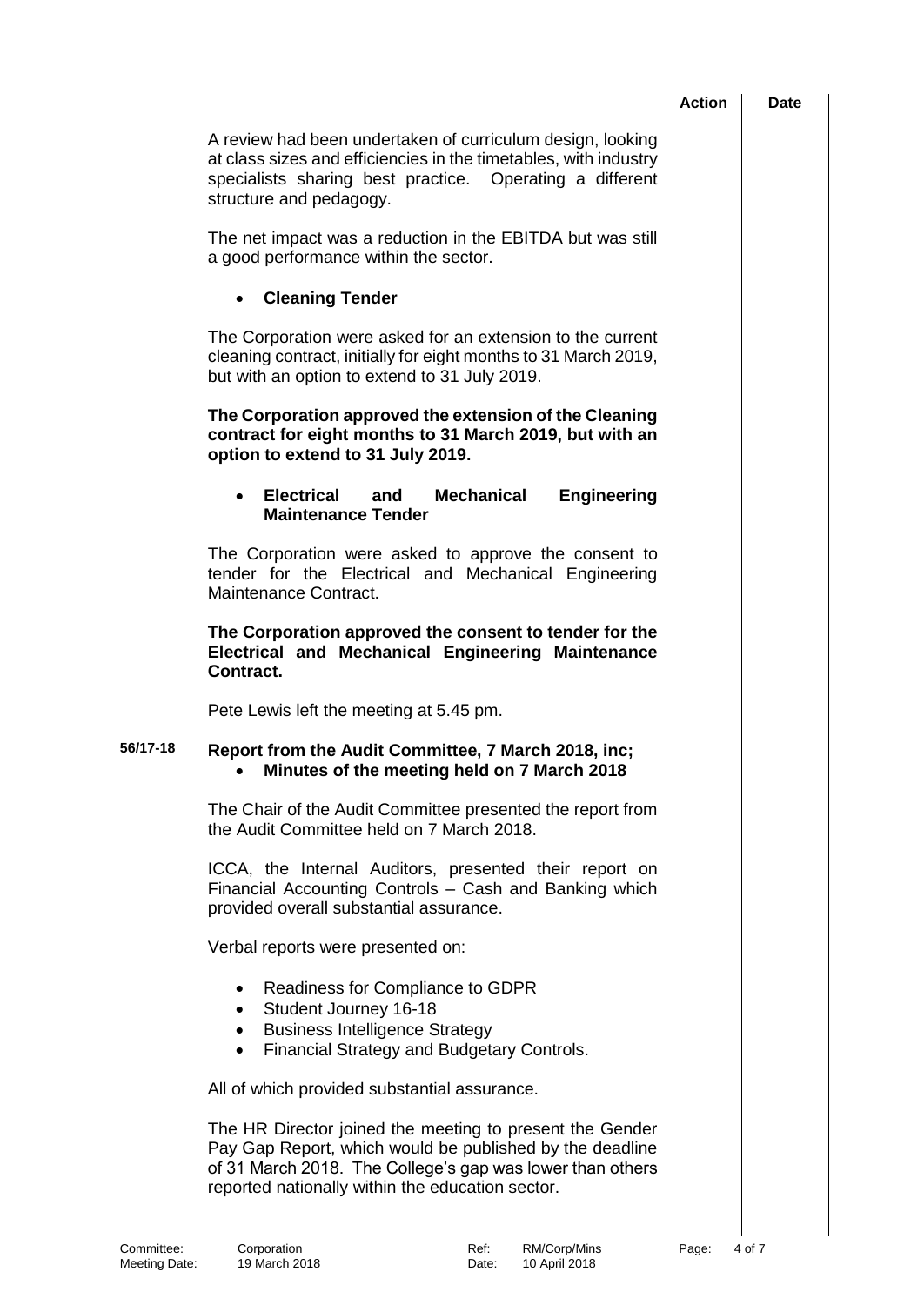|                             |                                                                                                                                                                                                                                       | <b>Action</b> | Date   |
|-----------------------------|---------------------------------------------------------------------------------------------------------------------------------------------------------------------------------------------------------------------------------------|---------------|--------|
|                             | A review had been undertaken of curriculum design, looking<br>at class sizes and efficiencies in the timetables, with industry<br>specialists sharing best practice. Operating a different<br>structure and pedagogy.                 |               |        |
|                             | The net impact was a reduction in the EBITDA but was still<br>a good performance within the sector.                                                                                                                                   |               |        |
|                             | <b>Cleaning Tender</b><br>$\bullet$                                                                                                                                                                                                   |               |        |
|                             | The Corporation were asked for an extension to the current<br>cleaning contract, initially for eight months to 31 March 2019,<br>but with an option to extend to 31 July 2019.                                                        |               |        |
|                             | The Corporation approved the extension of the Cleaning<br>contract for eight months to 31 March 2019, but with an<br>option to extend to 31 July 2019.                                                                                |               |        |
|                             | <b>Electrical</b><br>and<br><b>Mechanical</b><br><b>Engineering</b><br><b>Maintenance Tender</b>                                                                                                                                      |               |        |
|                             | The Corporation were asked to approve the consent to<br>tender for the Electrical and Mechanical Engineering<br>Maintenance Contract.                                                                                                 |               |        |
|                             | The Corporation approved the consent to tender for the<br>Electrical and Mechanical Engineering Maintenance<br>Contract.                                                                                                              |               |        |
|                             | Pete Lewis left the meeting at 5.45 pm.                                                                                                                                                                                               |               |        |
| 56/17-18                    | Report from the Audit Committee, 7 March 2018, inc;<br>Minutes of the meeting held on 7 March 2018                                                                                                                                    |               |        |
|                             | The Chair of the Audit Committee presented the report from<br>the Audit Committee held on 7 March 2018.                                                                                                                               |               |        |
|                             | ICCA, the Internal Auditors, presented their report on<br>Financial Accounting Controls - Cash and Banking which<br>provided overall substantial assurance.                                                                           |               |        |
|                             | Verbal reports were presented on:                                                                                                                                                                                                     |               |        |
|                             | Readiness for Compliance to GDPR<br>$\bullet$<br>Student Journey 16-18<br>$\bullet$<br><b>Business Intelligence Strategy</b><br>$\bullet$<br>Financial Strategy and Budgetary Controls.<br>٠                                          |               |        |
|                             | All of which provided substantial assurance.                                                                                                                                                                                          |               |        |
|                             | The HR Director joined the meeting to present the Gender<br>Pay Gap Report, which would be published by the deadline<br>of 31 March 2018. The College's gap was lower than others<br>reported nationally within the education sector. |               |        |
| Committee:<br>Meeting Date: | Corporation<br>RM/Corp/Mins<br>Ref:<br>19 March 2018<br>10 April 2018<br>Date:                                                                                                                                                        | Page:         | 4 of 7 |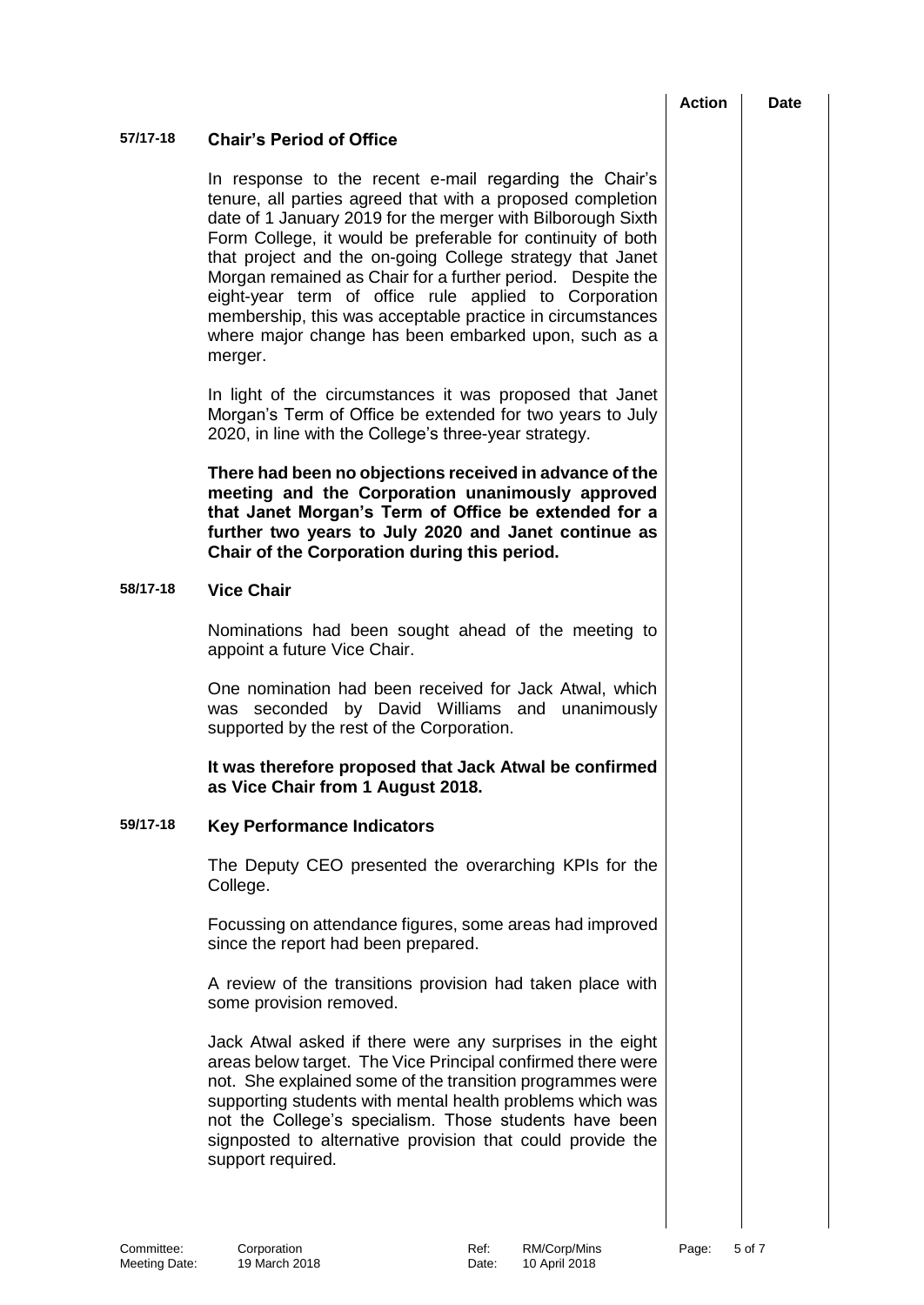# **57/17-18 Chair's Period of Office** In response to the recent e-mail regarding the Chair's tenure, all parties agreed that with a proposed completion date of 1 January 2019 for the merger with Bilborough Sixth Form College, it would be preferable for continuity of both that project and the on-going College strategy that Janet Morgan remained as Chair for a further period. Despite the eight-year term of office rule applied to Corporation membership, this was acceptable practice in circumstances where major change has been embarked upon, such as a merger. In light of the circumstances it was proposed that Janet Morgan's Term of Office be extended for two years to July 2020, in line with the College's three-year strategy. **There had been no objections received in advance of the meeting and the Corporation unanimously approved that Janet Morgan's Term of Office be extended for a further two years to July 2020 and Janet continue as Chair of the Corporation during this period. 58/17-18 Vice Chair** Nominations had been sought ahead of the meeting to appoint a future Vice Chair. One nomination had been received for Jack Atwal, which was seconded by David Williams and unanimously supported by the rest of the Corporation. **It was therefore proposed that Jack Atwal be confirmed as Vice Chair from 1 August 2018. 59/17-18 Key Performance Indicators** The Deputy CEO presented the overarching KPIs for the College. Focussing on attendance figures, some areas had improved since the report had been prepared. A review of the transitions provision had taken place with some provision removed. Jack Atwal asked if there were any surprises in the eight areas below target. The Vice Principal confirmed there were not. She explained some of the transition programmes were supporting students with mental health problems which was not the College's specialism. Those students have been signposted to alternative provision that could provide the support required.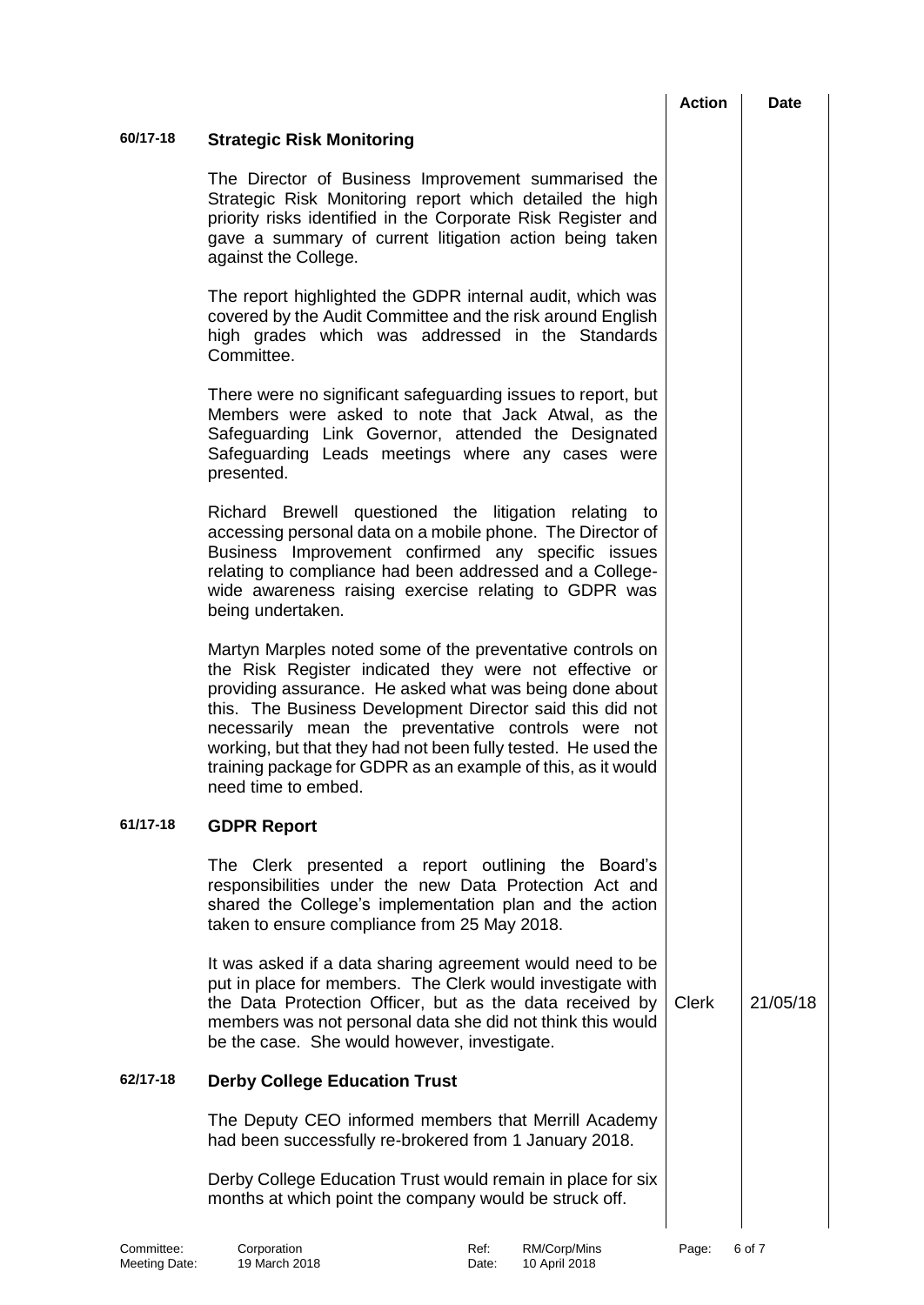|          |                                                                                                                                                                                                                                                                                                                                                                                                                                                            | <b>Action</b> | Date     |
|----------|------------------------------------------------------------------------------------------------------------------------------------------------------------------------------------------------------------------------------------------------------------------------------------------------------------------------------------------------------------------------------------------------------------------------------------------------------------|---------------|----------|
| 60/17-18 | <b>Strategic Risk Monitoring</b>                                                                                                                                                                                                                                                                                                                                                                                                                           |               |          |
|          | The Director of Business Improvement summarised the<br>Strategic Risk Monitoring report which detailed the high<br>priority risks identified in the Corporate Risk Register and<br>gave a summary of current litigation action being taken<br>against the College.                                                                                                                                                                                         |               |          |
|          | The report highlighted the GDPR internal audit, which was<br>covered by the Audit Committee and the risk around English<br>high grades which was addressed in the Standards<br>Committee.                                                                                                                                                                                                                                                                  |               |          |
|          | There were no significant safeguarding issues to report, but<br>Members were asked to note that Jack Atwal, as the<br>Safeguarding Link Governor, attended the Designated<br>Safeguarding Leads meetings where any cases were<br>presented.                                                                                                                                                                                                                |               |          |
|          | Richard Brewell questioned the litigation relating to<br>accessing personal data on a mobile phone. The Director of<br>Business Improvement confirmed any specific issues<br>relating to compliance had been addressed and a College-<br>wide awareness raising exercise relating to GDPR was<br>being undertaken.                                                                                                                                         |               |          |
|          | Martyn Marples noted some of the preventative controls on<br>the Risk Register indicated they were not effective or<br>providing assurance. He asked what was being done about<br>this. The Business Development Director said this did not<br>necessarily mean the preventative controls were not<br>working, but that they had not been fully tested. He used the<br>training package for GDPR as an example of this, as it would<br>need time to embed. |               |          |
| 61/17-18 | <b>GDPR Report</b>                                                                                                                                                                                                                                                                                                                                                                                                                                         |               |          |
|          | The Clerk presented a report outlining the Board's<br>responsibilities under the new Data Protection Act and<br>shared the College's implementation plan and the action<br>taken to ensure compliance from 25 May 2018.                                                                                                                                                                                                                                    |               |          |
|          | It was asked if a data sharing agreement would need to be<br>put in place for members. The Clerk would investigate with<br>the Data Protection Officer, but as the data received by<br>members was not personal data she did not think this would<br>be the case. She would however, investigate.                                                                                                                                                          | <b>Clerk</b>  | 21/05/18 |
| 62/17-18 | <b>Derby College Education Trust</b>                                                                                                                                                                                                                                                                                                                                                                                                                       |               |          |
|          | The Deputy CEO informed members that Merrill Academy<br>had been successfully re-brokered from 1 January 2018.                                                                                                                                                                                                                                                                                                                                             |               |          |
|          | Derby College Education Trust would remain in place for six<br>months at which point the company would be struck off.                                                                                                                                                                                                                                                                                                                                      |               |          |

Committee: Corporation Committee: Corporation Committee: Ref: RM/Corp/Mins Page: 6 of 7

Meeting Date: 19 March 2018 **Date:** 10 April 2018